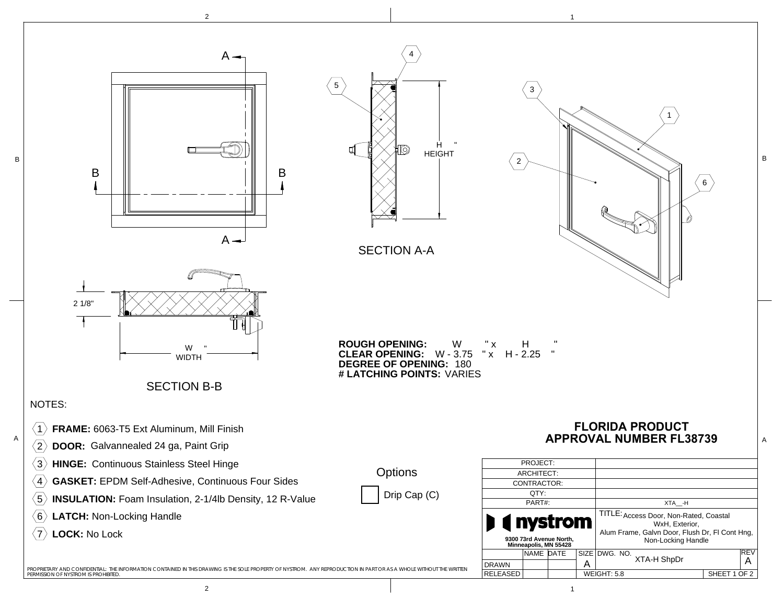

B